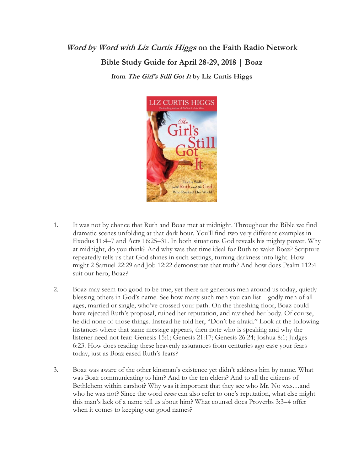## **Word by Word with Liz Curtis Higgs on the Faith Radio Network Bible Study Guide for April 28-29, 2018 | Boaz from The Girl's Still Got It by Liz Curtis Higgs**



- 1. It was not by chance that Ruth and Boaz met at midnight. Throughout the Bible we find dramatic scenes unfolding at that dark hour. You'll find two very different examples in Exodus 11:4–7 and Acts 16:25–31. In both situations God reveals his mighty power. Why at midnight, do you think? And why was that time ideal for Ruth to wake Boaz? Scripture repeatedly tells us that God shines in such settings, turning darkness into light. How might 2 Samuel 22:29 and Job 12:22 demonstrate that truth? And how does Psalm 112:4 suit our hero, Boaz?
- 2. Boaz may seem too good to be true, yet there are generous men around us today, quietly blessing others in God's name. See how many such men you can list—godly men of all ages, married or single, who've crossed your path. On the threshing floor, Boaz could have rejected Ruth's proposal, ruined her reputation, and ravished her body. Of course, he did none of those things. Instead he told her, "Don't be afraid." Look at the following instances where that same message appears, then note who is speaking and why the listener need not fear: Genesis 15:1; Genesis 21:17; Genesis 26:24; Joshua 8:1; Judges 6:23. How does reading these heavenly assurances from centuries ago ease your fears today, just as Boaz eased Ruth's fears?
- 3. Boaz was aware of the other kinsman's existence yet didn't address him by name. What was Boaz communicating to him? And to the ten elders? And to all the citizens of Bethlehem within earshot? Why was it important that they see who Mr. No was…and who he was not? Since the word *name* can also refer to one's reputation, what else might this man's lack of a name tell us about him? What counsel does Proverbs 3:3–4 offer when it comes to keeping our good names?